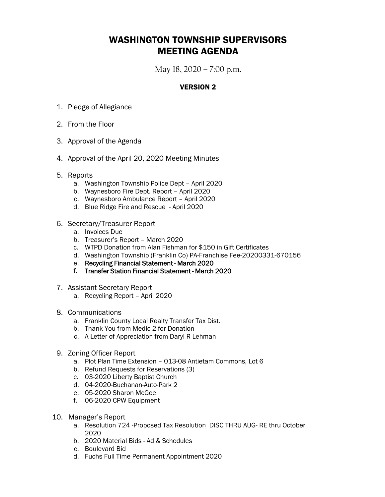## WASHINGTON TOWNSHIP SUPERVISORS MEETING AGENDA

May 18, 2020 – 7:00 p.m.

#### VERSION 2

- 1. Pledge of Allegiance
- 2. From the Floor
- 3. Approval of the Agenda
- 4. Approval of the April 20, 2020 Meeting Minutes
- 5. Reports
	- a. Washington Township Police Dept April 2020
	- b. Waynesboro Fire Dept. Report April 2020
	- c. Waynesboro Ambulance Report April 2020
	- d. Blue Ridge Fire and Rescue April 2020
- 6. Secretary/Treasurer Report
	- a. Invoices Due
	- b. Treasurer's Report March 2020
	- c. WTPD Donation from Alan Fishman for \$150 in Gift Certificates
	- d. Washington Township (Franklin Co) PA-Franchise Fee-20200331-670156
	- e. Recycling Financial Statement March 2020
	- f. Transfer Station Financial Statement March 2020
- 7. Assistant Secretary Report
	- a. Recycling Report April 2020
- 8. Communications
	- a. Franklin County Local Realty Transfer Tax Dist.
	- b. Thank You from Medic 2 for Donation
	- c. A Letter of Appreciation from Daryl R Lehman
- 9. Zoning Officer Report
	- a. Plot Plan Time Extension 013-08 Antietam Commons, Lot 6
	- b. Refund Requests for Reservations (3)
	- c. 03-2020 Liberty Baptist Church
	- d. 04-2020-Buchanan-Auto-Park 2
	- e. 05-2020 Sharon McGee
	- f. 06-2020 CPW Equipment
- 10. Manager's Report
	- a. Resolution 724 -Proposed Tax Resolution DISC THRU AUG- RE thru October 2020
	- b. 2020 Material Bids Ad & Schedules
	- c. Boulevard Bid
	- d. Fuchs Full Time Permanent Appointment 2020